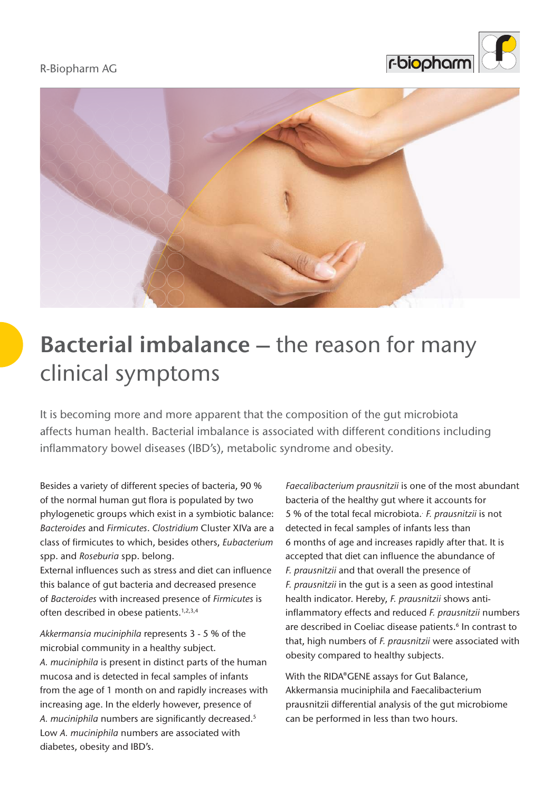#### R-Biopharm AG





# **Bacterial imbalance –** the reason for many clinical symptoms

It is becoming more and more apparent that the composition of the gut microbiota affects human health. Bacterial imbalance is associated with different conditions including inflammatory bowel diseases (IBD's), metabolic syndrome and obesity.

Besides a variety of different species of bacteria, 90 % of the normal human gut flora is populated by two phylogenetic groups which exist in a symbiotic balance: *Bacteroides* and *Firmicutes*. *Clostridium* Cluster XIVa are a class of firmicutes to which, besides others, *Eubacterium* spp. and *Roseburia* spp. belong.

External influences such as stress and diet can influence this balance of gut bacteria and decreased presence of *Bacteroides* with increased presence of *Firmicutes* is often described in obese patients.1,2,3,4

*Akkermansia muciniphila* represents 3 - 5 % of the microbial community in a healthy subject. *A. muciniphila* is present in distinct parts of the human mucosa and is detected in fecal samples of infants from the age of 1 month on and rapidly increases with increasing age. In the elderly however, presence of *A. muciniphila* numbers are significantly decreased.<sup>5</sup> Low *A. muciniphila* numbers are associated with diabetes, obesity and IBD's.

*Faecalibacterium prausnitzii* is one of the most abundant bacteria of the healthy gut where it accounts for 5 % of the total fecal microbiota.. *F. prausnitzii* is not detected in fecal samples of infants less than 6 months of age and increases rapidly after that. It is accepted that diet can influence the abundance of *F. prausnitzii* and that overall the presence of *F. prausnitzii* in the gut is a seen as good intestinal health indicator. Hereby, *F. prausnitzii* shows antiinflammatory effects and reduced *F. prausnitzii* numbers are described in Coeliac disease patients.<sup>6</sup> In contrast to that, high numbers of *F. prausnitzii* were associated with obesity compared to healthy subjects.

With the RIDA®GENE assays for Gut Balance, Akkermansia muciniphila and Faecalibacterium prausnitzii differential analysis of the gut microbiome can be performed in less than two hours.